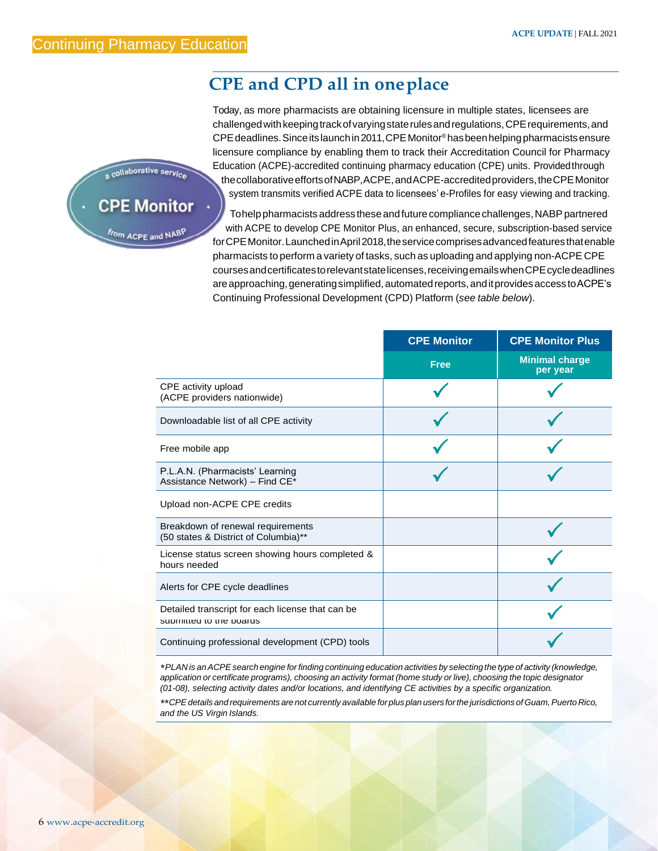## **CPE and CPD all in oneplace**

Today, as more pharmacists are obtaining licensure in multiple states, licensees are challengedwithkeepingtrackofvaryingstaterulesandregulations,CPErequirements,and CPEdeadlines.Sinceitslaunchin2011,CPEMonitor® hasbeenhelpingpharmacistsensure licensure compliance by enabling them to track their Accreditation Council for Pharmacy Education (ACPE)-accredited continuing pharmacy education (CPE) units. Providedthrough thecollaborativeeffortsofNABP,ACPE,andACPE-accreditedproviders,theCPEMonitor system transmits verified ACPE data to licensees' e-Profiles for easy viewing and tracking.

Tohelppharmacists address these and future compliance challenges, NABP partnered with ACPE to develop CPE Monitor Plus, an enhanced, secure, subscription-based service forCPEMonitor.LaunchedinApril2018,theservicecomprisesadvancedfeaturesthatenable pharmacists to perform a variety of tasks, such as uploading and applying non-ACPE CPE coursesandcertificatestorelevantstatelicenses,receivingemailswhenCPEcycledeadlines are approaching, generating simplified, automated reports, and it provides access to ACPE's Continuing Professional Development (CPD) Platform (*see table below*).

|                                                                             | <b>CPE Monitor</b> | <b>CPE Monitor Plus</b>           |
|-----------------------------------------------------------------------------|--------------------|-----------------------------------|
|                                                                             | <b>Free</b>        | <b>Minimal charge</b><br>per year |
| CPE activity upload<br>(ACPE providers nationwide)                          |                    |                                   |
| Downloadable list of all CPE activity                                       |                    |                                   |
| Free mobile app                                                             |                    |                                   |
| P.L.A.N. (Pharmacists' Learning<br>Assistance Network) - Find CE*           |                    |                                   |
| Upload non-ACPE CPE credits                                                 |                    |                                   |
| Breakdown of renewal requirements<br>(50 states & District of Columbia)**   |                    |                                   |
| License status screen showing hours completed &<br>hours needed             |                    |                                   |
| Alerts for CPE cycle deadlines                                              |                    |                                   |
| Detailed transcript for each license that can be<br>supmitted to the poards |                    |                                   |
| Continuing professional development (CPD) tools                             |                    |                                   |

\*PLAN is an ACPE search engine for finding continuing education activities by selecting the type of activity (knowledge, application or certificate programs), choosing an activity format (home study or live), choosing the topic designator *(01-08), selecting activity dates and/or locations, and identifying CE activities by a specific organization.*

*\*\*CPEdetails and requirements are not currently available forplus plan users forthe jurisdictions ofGuam,Puerto Rico, and the US Virgin Islands.*